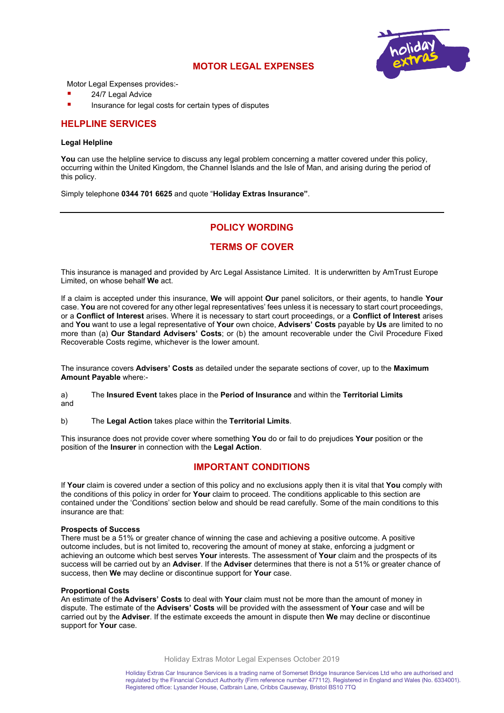# **MOTOR LEGAL EXPENSES**



Motor Legal Expenses provides:-

- 24/7 Legal Advice
- Insurance for legal costs for certain types of disputes

## **HELPLINE SERVICES**

#### **Legal Helpline**

**You** can use the helpline service to discuss any legal problem concerning a matter covered under this policy, occurring within the United Kingdom, the Channel Islands and the Isle of Man, and arising during the period of this policy.

Simply telephone **0344 701 6625** and quote "**Holiday Extras Insurance"**.

# **POLICY WORDING**

# **TERMS OF COVER**

This insurance is managed and provided by Arc Legal Assistance Limited. It is underwritten by AmTrust Europe Limited, on whose behalf **We** act.

If a claim is accepted under this insurance, **We** will appoint **Our** panel solicitors, or their agents, to handle **Your** case. **You** are not covered for any other legal representatives' fees unless it is necessary to start court proceedings, or a **Conflict of Interest** arises. Where it is necessary to start court proceedings, or a **Conflict of Interest** arises and **You** want to use a legal representative of **Your** own choice, **Advisers' Costs** payable by **Us** are limited to no more than (a) **Our Standard Advisers' Costs**; or (b) the amount recoverable under the Civil Procedure Fixed Recoverable Costs regime, whichever is the lower amount.

The insurance covers **Advisers' Costs** as detailed under the separate sections of cover, up to the **Maximum Amount Payable** where:-

a) The **Insured Event** takes place in the **Period of Insurance** and within the **Territorial Limits** and

b) The **Legal Action** takes place within the **Territorial Limits**.

This insurance does not provide cover where something **You** do or fail to do prejudices **Your** position or the position of the **Insurer** in connection with the **Legal Action**.

## **IMPORTANT CONDITIONS**

If **Your** claim is covered under a section of this policy and no exclusions apply then it is vital that **You** comply with the conditions of this policy in order for **Your** claim to proceed. The conditions applicable to this section are contained under the 'Conditions' section below and should be read carefully. Some of the main conditions to this insurance are that:

#### **Prospects of Success**

There must be a 51% or greater chance of winning the case and achieving a positive outcome. A positive outcome includes, but is not limited to, recovering the amount of money at stake, enforcing a judgment or achieving an outcome which best serves **Your** interests. The assessment of **Your** claim and the prospects of its success will be carried out by an **Adviser**. If the **Adviser** determines that there is not a 51% or greater chance of success, then **We** may decline or discontinue support for **Your** case.

#### **Proportional Costs**

An estimate of the **Advisers' Costs** to deal with **Your** claim must not be more than the amount of money in dispute. The estimate of the **Advisers' Costs** will be provided with the assessment of **Your** case and will be carried out by the **Adviser**. If the estimate exceeds the amount in dispute then **We** may decline or discontinue support for **Your** case.

Holiday Extras Motor Legal Expenses October 2019

Holiday Extras Car Insurance Services is a trading name of Somerset Bridge Insurance Services Ltd who are authorised and regulated by the Financial Conduct Authority (Firm reference number 477112). Registered in England and Wales (No. 6334001). Registered office: Lysander House, Catbrain Lane, Cribbs Causeway, Bristol BS10 7TQ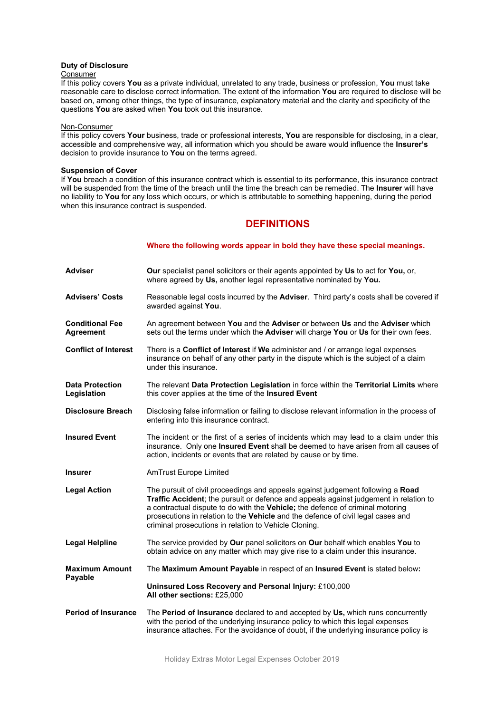### **Duty of Disclosure**

#### Consumer

If this policy covers **You** as a private individual, unrelated to any trade, business or profession, **You** must take reasonable care to disclose correct information. The extent of the information **You** are required to disclose will be based on, among other things, the type of insurance, explanatory material and the clarity and specificity of the questions **You** are asked when **You** took out this insurance.

#### Non-Consumer

If this policy covers **Your** business, trade or professional interests, **You** are responsible for disclosing, in a clear, accessible and comprehensive way, all information which you should be aware would influence the **Insurer's** decision to provide insurance to **You** on the terms agreed.

## **Suspension of Cover**

If **You** breach a condition of this insurance contract which is essential to its performance, this insurance contract will be suspended from the time of the breach until the time the breach can be remedied. The **Insurer** will have no liability to **You** for any loss which occurs, or which is attributable to something happening, during the period when this insurance contract is suspended.

# **DEFINITIONS**

### **Where the following words appear in bold they have these special meanings.**

| <b>Adviser</b>                             | Our specialist panel solicitors or their agents appointed by Us to act for You, or,<br>where agreed by Us, another legal representative nominated by You.                                                                                                                                                                                                                                               |
|--------------------------------------------|---------------------------------------------------------------------------------------------------------------------------------------------------------------------------------------------------------------------------------------------------------------------------------------------------------------------------------------------------------------------------------------------------------|
| <b>Advisers' Costs</b>                     | Reasonable legal costs incurred by the Adviser. Third party's costs shall be covered if<br>awarded against You.                                                                                                                                                                                                                                                                                         |
| <b>Conditional Fee</b><br><b>Agreement</b> | An agreement between You and the Adviser or between Us and the Adviser which<br>sets out the terms under which the Adviser will charge You or Us for their own fees.                                                                                                                                                                                                                                    |
| <b>Conflict of Interest</b>                | There is a Conflict of Interest if We administer and / or arrange legal expenses<br>insurance on behalf of any other party in the dispute which is the subject of a claim<br>under this insurance.                                                                                                                                                                                                      |
| <b>Data Protection</b><br>Legislation      | The relevant Data Protection Legislation in force within the Territorial Limits where<br>this cover applies at the time of the Insured Event                                                                                                                                                                                                                                                            |
| <b>Disclosure Breach</b>                   | Disclosing false information or failing to disclose relevant information in the process of<br>entering into this insurance contract.                                                                                                                                                                                                                                                                    |
| <b>Insured Event</b>                       | The incident or the first of a series of incidents which may lead to a claim under this<br>insurance. Only one Insured Event shall be deemed to have arisen from all causes of<br>action, incidents or events that are related by cause or by time.                                                                                                                                                     |
| <b>Insurer</b>                             | <b>AmTrust Europe Limited</b>                                                                                                                                                                                                                                                                                                                                                                           |
| <b>Legal Action</b>                        | The pursuit of civil proceedings and appeals against judgement following a Road<br>Traffic Accident; the pursuit or defence and appeals against judgement in relation to<br>a contractual dispute to do with the Vehicle; the defence of criminal motoring<br>prosecutions in relation to the Vehicle and the defence of civil legal cases and<br>criminal prosecutions in relation to Vehicle Cloning. |
| <b>Legal Helpline</b>                      | The service provided by Our panel solicitors on Our behalf which enables You to<br>obtain advice on any matter which may give rise to a claim under this insurance.                                                                                                                                                                                                                                     |
| <b>Maximum Amount</b><br>Payable           | The Maximum Amount Payable in respect of an Insured Event is stated below:                                                                                                                                                                                                                                                                                                                              |
|                                            | Uninsured Loss Recovery and Personal Injury: £100,000<br>All other sections: £25,000                                                                                                                                                                                                                                                                                                                    |
| <b>Period of Insurance</b>                 | The Period of Insurance declared to and accepted by Us, which runs concurrently<br>with the period of the underlying insurance policy to which this legal expenses<br>insurance attaches. For the avoidance of doubt, if the underlying insurance policy is                                                                                                                                             |

Holiday Extras Motor Legal Expenses October 2019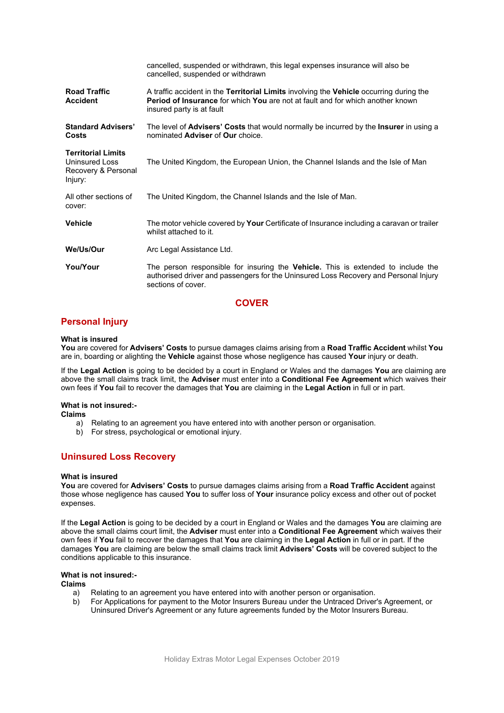|                                                                                      | cancelled, suspended or withdrawn, this legal expenses insurance will also be<br>cancelled, suspended or withdrawn                                                                                                          |
|--------------------------------------------------------------------------------------|-----------------------------------------------------------------------------------------------------------------------------------------------------------------------------------------------------------------------------|
| <b>Road Traffic</b><br><b>Accident</b>                                               | A traffic accident in the <b>Territorial Limits</b> involving the <b>Vehicle</b> occurring during the<br><b>Period of Insurance</b> for which You are not at fault and for which another known<br>insured party is at fault |
| <b>Standard Advisers'</b><br>Costs                                                   | The level of Advisers' Costs that would normally be incurred by the Insurer in using a<br>nominated Adviser of Our choice.                                                                                                  |
| <b>Territorial Limits</b><br><b>Uninsured Loss</b><br>Recovery & Personal<br>Injury: | The United Kingdom, the European Union, the Channel Islands and the Isle of Man                                                                                                                                             |
| All other sections of<br>cover:                                                      | The United Kingdom, the Channel Islands and the Isle of Man.                                                                                                                                                                |
| <b>Vehicle</b>                                                                       | The motor vehicle covered by <b>Your</b> Certificate of Insurance including a caravan or trailer<br>whilst attached to it.                                                                                                  |
| We/Us/Our                                                                            | Arc Legal Assistance Ltd.                                                                                                                                                                                                   |
| You/Your                                                                             | The person responsible for insuring the <b>Vehicle</b> . This is extended to include the<br>authorised driver and passengers for the Uninsured Loss Recovery and Personal Injury<br>sections of cover.                      |

## **COVER**

# **Personal Injury**

### **What is insured**

**You** are covered for **Advisers' Costs** to pursue damages claims arising from a **Road Traffic Accident** whilst **You** are in, boarding or alighting the **Vehicle** against those whose negligence has caused **Your** injury or death.

If the **Legal Action** is going to be decided by a court in England or Wales and the damages **You** are claiming are above the small claims track limit, the **Adviser** must enter into a **Conditional Fee Agreement** which waives their own fees if **You** fail to recover the damages that **You** are claiming in the **Legal Action** in full or in part.

### **What is not insured:-**

**Claims**

- a) Relating to an agreement you have entered into with another person or organisation.
- b) For stress, psychological or emotional injury.

# **Uninsured Loss Recovery**

### **What is insured**

**You** are covered for **Advisers' Costs** to pursue damages claims arising from a **Road Traffic Accident** against those whose negligence has caused **You** to suffer loss of **Your** insurance policy excess and other out of pocket expenses.

If the **Legal Action** is going to be decided by a court in England or Wales and the damages **You** are claiming are above the small claims court limit, the **Adviser** must enter into a **Conditional Fee Agreement** which waives their own fees if **You** fail to recover the damages that **You** are claiming in the **Legal Action** in full or in part. If the damages **You** are claiming are below the small claims track limit **Advisers' Costs** will be covered subject to the conditions applicable to this insurance.

### **What is not insured:-**

## **Claims**

- a) Relating to an agreement you have entered into with another person or organisation.
- b) For Applications for payment to the Motor Insurers Bureau under the Untraced Driver's Agreement, or Uninsured Driver's Agreement or any future agreements funded by the Motor Insurers Bureau.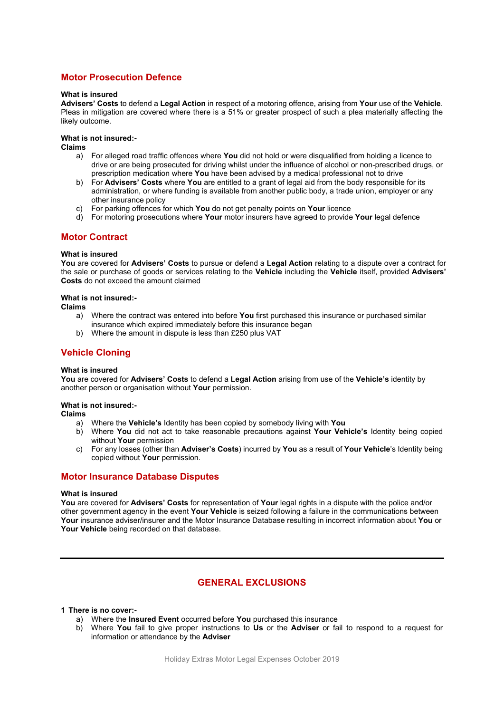# **Motor Prosecution Defence**

#### **What is insured**

**Advisers' Costs** to defend a **Legal Action** in respect of a motoring offence, arising from **Your** use of the **Vehicle**. Pleas in mitigation are covered where there is a 51% or greater prospect of such a plea materially affecting the likely outcome.

### **What is not insured:-**

**Claims**

- a) For alleged road traffic offences where **You** did not hold or were disqualified from holding a licence to drive or are being prosecuted for driving whilst under the influence of alcohol or non-prescribed drugs, or prescription medication where **You** have been advised by a medical professional not to drive
- b) For **Advisers' Costs** where **You** are entitled to a grant of legal aid from the body responsible for its administration, or where funding is available from another public body, a trade union, employer or any other insurance policy
- c) For parking offences for which **You** do not get penalty points on **Your** licence
- d) For motoring prosecutions where **Your** motor insurers have agreed to provide **Your** legal defence

## **Motor Contract**

#### **What is insured**

**You** are covered for **Advisers' Costs** to pursue or defend a **Legal Action** relating to a dispute over a contract for the sale or purchase of goods or services relating to the **Vehicle** including the **Vehicle** itself, provided **Advisers' Costs** do not exceed the amount claimed

#### **What is not insured:-**

**Claims**

- a) Where the contract was entered into before **You** first purchased this insurance or purchased similar insurance which expired immediately before this insurance began
- b) Where the amount in dispute is less than £250 plus VAT

# **Vehicle Cloning**

### **What is insured**

**You** are covered for **Advisers' Costs** to defend a **Legal Action** arising from use of the **Vehicle's** identity by another person or organisation without **Your** permission.

### **What is not insured:-**

**Claims**

- a) Where the **Vehicle's** Identity has been copied by somebody living with **You**
- b) Where **You** did not act to take reasonable precautions against **Your Vehicle's** Identity being copied without **Your** permission
- c) For any losses (other than **Adviser's Costs**) incurred by **You** as a result of **Your Vehicle**'s Identity being copied without **Your** permission.

### **Motor Insurance Database Disputes**

#### **What is insured**

**You** are covered for **Advisers' Costs** for representation of **Your** legal rights in a dispute with the police and/or other government agency in the event **Your Vehicle** is seized following a failure in the communications between **Your** insurance adviser/insurer and the Motor Insurance Database resulting in incorrect information about **You** or **Your Vehicle** being recorded on that database.

# **GENERAL EXCLUSIONS**

### **1 There is no cover:-**

- a) Where the **Insured Event** occurred before **You** purchased this insurance
- b) Where **You** fail to give proper instructions to **Us** or the **Adviser** or fail to respond to a request for information or attendance by the **Adviser**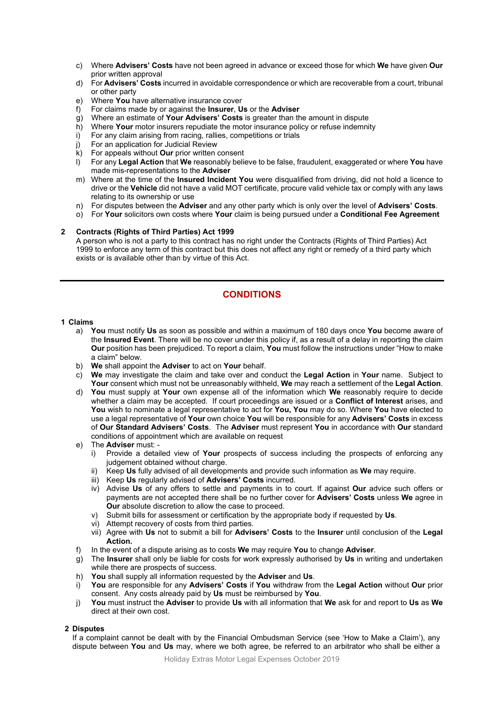- c) Where **Advisers' Costs** have not been agreed in advance or exceed those for which **We** have given **Our** prior written approval
- d) For **Advisers' Costs** incurred in avoidable correspondence or which are recoverable from a court, tribunal or other party
- e) Where **You** have alternative insurance cover
- f) For claims made by or against the **Insurer**, **Us** or the **Adviser**
- g) Where an estimate of **Your Advisers' Costs** is greater than the amount in dispute
- h) Where **Your** motor insurers repudiate the motor insurance policy or refuse indemnity
- i) For any claim arising from racing, rallies, competitions or trials
- j) For an application for Judicial Review
- k) For appeals without **Our** prior written consent
- l) For any **Legal Action** that **We** reasonably believe to be false, fraudulent, exaggerated or where **You** have made mis-representations to the **Adviser**
- m) Where at the time of the **Insured Incident You** were disqualified from driving, did not hold a licence to drive or the **Vehicle** did not have a valid MOT certificate, procure valid vehicle tax or comply with any laws relating to its ownership or use
- n) For disputes between the **Adviser** and any other party which is only over the level of **Advisers' Costs**.
- o) For **Your** solicitors own costs where **Your** claim is being pursued under a **Conditional Fee Agreement**

### **2 Contracts (Rights of Third Parties) Act 1999**

A person who is not a party to this contract has no right under the Contracts (Rights of Third Parties) Act 1999 to enforce any term of this contract but this does not affect any right or remedy of a third party which exists or is available other than by virtue of this Act.

# **CONDITIONS**

## **1 Claims**

- a) **You** must notify **Us** as soon as possible and within a maximum of 180 days once **You** become aware of the **Insured Event**. There will be no cover under this policy if, as a result of a delay in reporting the claim **Our** position has been prejudiced. To report a claim, **You** must follow the instructions under "How to make a claim" below.
- b) **We** shall appoint the **Adviser** to act on **Your** behalf.
- c) **We** may investigate the claim and take over and conduct the **Legal Action** in **Your** name. Subject to **Your** consent which must not be unreasonably withheld, **We** may reach a settlement of the **Legal Action**.
- d) **You** must supply at **Your** own expense all of the information which **We** reasonably require to decide whether a claim may be accepted. If court proceedings are issued or a **Conflict of Interest** arises, and **You** wish to nominate a legal representative to act for **You, You** may do so. Where **You** have elected to use a legal representative of **Your** own choice **You** will be responsible for any **Advisers' Costs** in excess of **Our Standard Advisers' Costs**. The **Adviser** must represent **You** in accordance with **Our** standard conditions of appointment which are available on request
- e) The **Adviser** must:
	- i) Provide a detailed view of **Your** prospects of success including the prospects of enforcing any judgement obtained without charge.
	- ii) Keep **Us** fully advised of all developments and provide such information as **We** may require.
	- iii) Keep **Us** regularly advised of **Advisers' Costs** incurred.
	- iv) Advise **Us** of any offers to settle and payments in to court. If against **Our** advice such offers or payments are not accepted there shall be no further cover for **Advisers' Costs** unless **We** agree in **Our** absolute discretion to allow the case to proceed.
	- v) Submit bills for assessment or certification by the appropriate body if requested by **Us**.
	- vi) Attempt recovery of costs from third parties.
	- vii) Agree with **Us** not to submit a bill for **Advisers' Costs** to the **Insurer** until conclusion of the **Legal Action.**
- f) In the event of a dispute arising as to costs **We** may require **You** to change **Adviser**.
- g) The **Insurer** shall only be liable for costs for work expressly authorised by **Us** in writing and undertaken while there are prospects of success.
- h) **You** shall supply all information requested by the **Adviser** and **Us**.
- i) **You** are responsible for any **Advisers' Costs** if **You** withdraw from the **Legal Action** without **Our** prior consent. Any costs already paid by **Us** must be reimbursed by **You**.
- j) **You** must instruct the **Adviser** to provide **Us** with all information that **We** ask for and report to **Us** as **We**  direct at their own cost.

## **2 Disputes**

If a complaint cannot be dealt with by the Financial Ombudsman Service (see 'How to Make a Claim'), any dispute between **You** and **Us** may, where we both agree, be referred to an arbitrator who shall be either a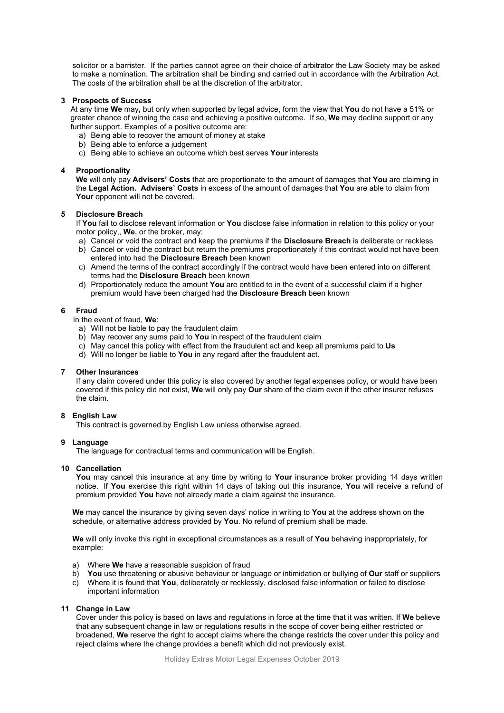solicitor or a barrister. If the parties cannot agree on their choice of arbitrator the Law Society may be asked to make a nomination. The arbitration shall be binding and carried out in accordance with the Arbitration Act. The costs of the arbitration shall be at the discretion of the arbitrator.

### **3 Prospects of Success**

At any time **We** may**,** but only when supported by legal advice, form the view that **You** do not have a 51% or greater chance of winning the case and achieving a positive outcome. If so, **We** may decline support or any further support. Examples of a positive outcome are:

- a) Being able to recover the amount of money at stake
- b) Being able to enforce a judgement
- c) Being able to achieve an outcome which best serves **Your** interests

### **4 Proportionality**

**We** will only pay **Advisers' Costs** that are proportionate to the amount of damages that **You** are claiming in the **Legal Action. Advisers' Costs** in excess of the amount of damages that **You** are able to claim from Your opponent will not be covered.

## **5 Disclosure Breach**

If **You** fail to disclose relevant information or **You** disclose false information in relation to this policy or your motor policy,, **We**, or the broker, may:

- a) Cancel or void the contract and keep the premiums if the **Disclosure Breach** is deliberate or reckless
- b) Cancel or void the contract but return the premiums proportionately if this contract would not have been entered into had the **Disclosure Breach** been known
- c) Amend the terms of the contract accordingly if the contract would have been entered into on different terms had the **Disclosure Breach** been known
- d) Proportionately reduce the amount **You** are entitled to in the event of a successful claim if a higher premium would have been charged had the **Disclosure Breach** been known

### **6 Fraud**

In the event of fraud, **We**:

- a) Will not be liable to pay the fraudulent claim
- b) May recover any sums paid to **You** in respect of the fraudulent claim
- c) May cancel this policy with effect from the fraudulent act and keep all premiums paid to **Us**
- d) Will no longer be liable to **You** in any regard after the fraudulent act.

## **7 Other Insurances**

If any claim covered under this policy is also covered by another legal expenses policy, or would have been covered if this policy did not exist, **We** will only pay **Our** share of the claim even if the other insurer refuses the claim.

### **8 English Law**

This contract is governed by English Law unless otherwise agreed.

### **9 Language**

The language for contractual terms and communication will be English.

### **10 Cancellation**

**You** may cancel this insurance at any time by writing to **Your** insurance broker providing 14 days written notice. If **You** exercise this right within 14 days of taking out this insurance, **You** will receive a refund of premium provided **You** have not already made a claim against the insurance.

**We** may cancel the insurance by giving seven days' notice in writing to **You** at the address shown on the schedule, or alternative address provided by **You**. No refund of premium shall be made.

**We** will only invoke this right in exceptional circumstances as a result of **You** behaving inappropriately, for example:

- a) Where **We** have a reasonable suspicion of fraud
- b) **You** use threatening or abusive behaviour or language or intimidation or bullying of **Our** staff or suppliers c) Where it is found that **You**, deliberately or recklessly, disclosed false information or failed to disclose
- important information

## **11 Change in Law**

Cover under this policy is based on laws and regulations in force at the time that it was written. If **We** believe that any subsequent change in law or regulations results in the scope of cover being either restricted or broadened, **We** reserve the right to accept claims where the change restricts the cover under this policy and reject claims where the change provides a benefit which did not previously exist.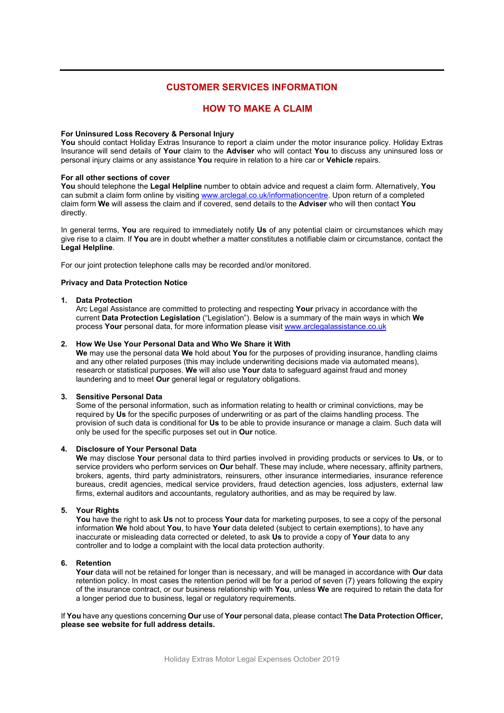# **CUSTOMER SERVICES INFORMATION**

# **HOW TO MAKE A CLAIM**

### **For Uninsured Loss Recovery & Personal Injury**

**You** should contact Holiday Extras Insurance to report a claim under the motor insurance policy. Holiday Extras Insurance will send details of **Your** claim to the **Adviser** who will contact **You** to discuss any uninsured loss or personal injury claims or any assistance **You** require in relation to a hire car or **Vehicle** repairs.

#### **For all other sections of cover**

**You** should telephone the **Legal Helpline** number to obtain advice and request a claim form. Alternatively, **You** can submit a claim form online by visiting [www.arclegal.co.uk/informationcentre.](http://www.arclegal.co.uk/informationcentre) Upon return of a completed claim form **We** will assess the claim and if covered, send details to the **Adviser** who will then contact **You**  directly.

In general terms, **You** are required to immediately notify **Us** of any potential claim or circumstances which may give rise to a claim. If **You** are in doubt whether a matter constitutes a notifiable claim or circumstance, contact the **Legal Helpline**.

For our joint protection telephone calls may be recorded and/or monitored.

## **Privacy and Data Protection Notice**

#### **1. Data Protection**

Arc Legal Assistance are committed to protecting and respecting **Your** privacy in accordance with the current **Data Protection Legislation** ("Legislation"). Below is a summary of the main ways in which **We** process **Your** personal data, for more information please visit [www.arclegalassistance.co.uk](http://www.arclegalassistance.co.uk/)

#### **2. How We Use Your Personal Data and Who We Share it With**

**We** may use the personal data **We** hold about **You** for the purposes of providing insurance, handling claims and any other related purposes (this may include underwriting decisions made via automated means), research or statistical purposes. **We** will also use **Your** data to safeguard against fraud and money laundering and to meet **Our** general legal or regulatory obligations.

### **3. Sensitive Personal Data**

Some of the personal information, such as information relating to health or criminal convictions, may be required by **Us** for the specific purposes of underwriting or as part of the claims handling process. The provision of such data is conditional for **Us** to be able to provide insurance or manage a claim. Such data will only be used for the specific purposes set out in **Our** notice.

## **4. Disclosure of Your Personal Data**

**We** may disclose **Your** personal data to third parties involved in providing products or services to **Us**, or to service providers who perform services on **Our** behalf. These may include, where necessary, affinity partners, brokers, agents, third party administrators, reinsurers, other insurance intermediaries, insurance reference bureaus, credit agencies, medical service providers, fraud detection agencies, loss adjusters, external law firms, external auditors and accountants, regulatory authorities, and as may be required by law.

### **5. Your Rights**

**You** have the right to ask **Us** not to process **Your** data for marketing purposes, to see a copy of the personal information **We** hold about **You**, to have **Your** data deleted (subject to certain exemptions), to have any inaccurate or misleading data corrected or deleted, to ask **Us** to provide a copy of **Your** data to any controller and to lodge a complaint with the local data protection authority.

### **6. Retention**

**Your** data will not be retained for longer than is necessary, and will be managed in accordance with **Our** data retention policy. In most cases the retention period will be for a period of seven (7) years following the expiry of the insurance contract, or our business relationship with **You**, unless **We** are required to retain the data for a longer period due to business, legal or regulatory requirements.

If **You** have any questions concerning **Our** use of **Your** personal data, please contact **The Data Protection Officer, please see website for full address details.**